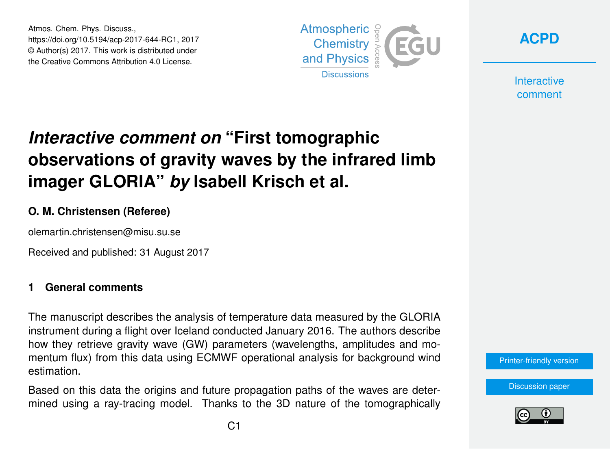Atmos. Chem. Phys. Discuss., https://doi.org/10.5194/acp-2017-644-RC1, 2017 © Author(s) 2017. This work is distributed under the Creative Commons Attribution 4.0 License.





**Interactive** comment

# *Interactive comment on* **"First tomographic observations of gravity waves by the infrared limb imager GLORIA"** *by* **Isabell Krisch et al.**

## **O. M. Christensen (Referee)**

olemartin.christensen@misu.su.se

Received and published: 31 August 2017

#### **1 General comments**

The manuscript describes the analysis of temperature data measured by the GLORIA instrument during a flight over Iceland conducted January 2016. The authors describe how they retrieve gravity wave (GW) parameters (wavelengths, amplitudes and momentum flux) from this data using ECMWF operational analysis for background wind estimation.

Based on this data the origins and future propagation paths of the waves are determined using a ray-tracing model. Thanks to the 3D nature of the tomographically



[Discussion paper](https://www.atmos-chem-phys-discuss.net/acp-2017-644)

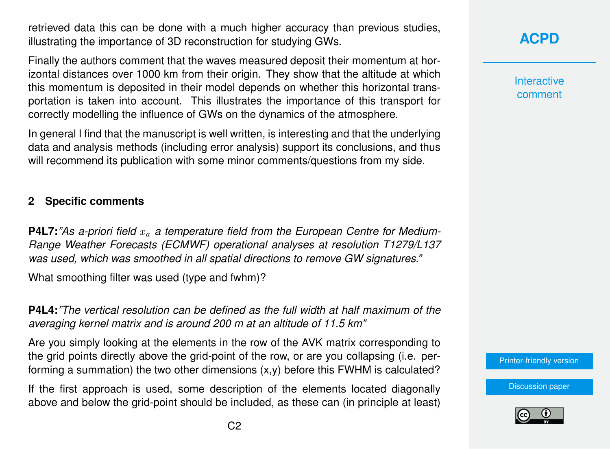retrieved data this can be done with a much higher accuracy than previous studies, illustrating the importance of 3D reconstruction for studying GWs.

Finally the authors comment that the waves measured deposit their momentum at horizontal distances over 1000 km from their origin. They show that the altitude at which this momentum is deposited in their model depends on whether this horizontal transportation is taken into account. This illustrates the importance of this transport for correctly modelling the influence of GWs on the dynamics of the atmosphere.

In general I find that the manuscript is well written, is interesting and that the underlying data and analysis methods (including error analysis) support its conclusions, and thus will recommend its publication with some minor comments/questions from my side.

### **2 Specific comments**

**P4L7:** "As a-priori field  $x_a$  a temperature field from the European Centre for Medium-*Range Weather Forecasts (ECMWF) operational analyses at resolution T1279/L137 was used, which was smoothed in all spatial directions to remove GW signatures."*

What smoothing filter was used (type and fwhm)?

**P4L4:***"The vertical resolution can be defined as the full width at half maximum of the averaging kernel matrix and is around 200 m at an altitude of 11.5 km"*

Are you simply looking at the elements in the row of the AVK matrix corresponding to the grid points directly above the grid-point of the row, or are you collapsing (i.e. performing a summation) the two other dimensions  $(x,y)$  before this FWHM is calculated?

If the first approach is used, some description of the elements located diagonally above and below the grid-point should be included, as these can (in principle at least) **[ACPD](https://www.atmos-chem-phys-discuss.net/)**

**Interactive** comment

[Printer-friendly version](https://www.atmos-chem-phys-discuss.net/acp-2017-644/acp-2017-644-RC1-print.pdf)

[Discussion paper](https://www.atmos-chem-phys-discuss.net/acp-2017-644)